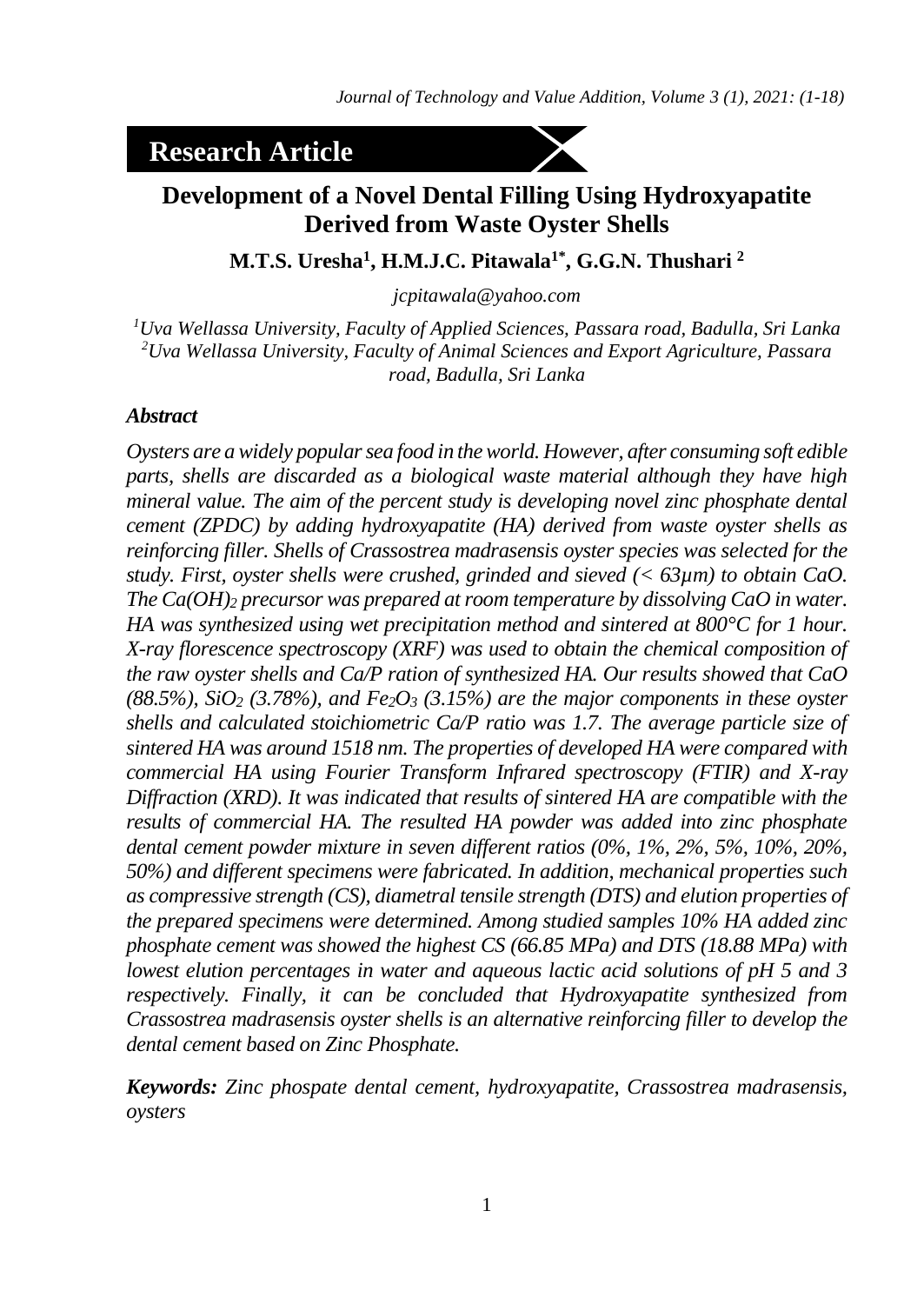# **Research Article**



# **Development of a Novel Dental Filling Using Hydroxyapatite Derived from Waste Oyster Shells**

**M.T.S. Uresha<sup>1</sup> , H.M.J.C. Pitawala1\* , G.G.N. Thushari <sup>2</sup>**

*[jcpitawala@yahoo.com](mailto:jcpitawala@yahoo.com)*

*<sup>1</sup>Uva Wellassa University, Faculty of Applied Sciences, Passara road, Badulla, Sri Lanka <sup>2</sup>Uva Wellassa University, Faculty of Animal Sciences and Export Agriculture, Passara road, Badulla, Sri Lanka*

#### *Abstract*

*Oysters are a widely popular sea food in the world. However, after consuming soft edible parts, shells are discarded as a biological waste material although they have high mineral value. The aim of the percent study is developing novel zinc phosphate dental cement (ZPDC) by adding hydroxyapatite (HA) derived from waste oyster shells as reinforcing filler. Shells of Crassostrea madrasensis oyster species was selected for the study. First, oyster shells were crushed, grinded and sieved (< 63µm) to obtain CaO. The Ca(OH)<sup>2</sup> precursor was prepared at room temperature by dissolving CaO in water. HA was synthesized using wet precipitation method and sintered at 800°C for 1 hour. X-ray florescence spectroscopy (XRF) was used to obtain the chemical composition of the raw oyster shells and Ca/P ration of synthesized HA. Our results showed that CaO (88.5%), SiO<sup>2</sup> (3.78%), and Fe2O<sup>3</sup> (3.15%) are the major components in these oyster shells and calculated stoichiometric Ca/P ratio was 1.7. The average particle size of sintered HA was around 1518 nm. The properties of developed HA were compared with commercial HA using Fourier Transform Infrared spectroscopy (FTIR) and X-ray Diffraction (XRD). It was indicated that results of sintered HA are compatible with the results of commercial HA. The resulted HA powder was added into zinc phosphate dental cement powder mixture in seven different ratios (0%, 1%, 2%, 5%, 10%, 20%, 50%) and different specimens were fabricated. In addition, mechanical properties such as compressive strength (CS), diametral tensile strength (DTS) and elution properties of the prepared specimens were determined. Among studied samples 10% HA added zinc phosphate cement was showed the highest CS (66.85 MPa) and DTS (18.88 MPa) with lowest elution percentages in water and aqueous lactic acid solutions of pH 5 and 3 respectively. Finally, it can be concluded that Hydroxyapatite synthesized from Crassostrea madrasensis oyster shells is an alternative reinforcing filler to develop the dental cement based on Zinc Phosphate.*

*Keywords: Zinc phospate dental cement, hydroxyapatite, Crassostrea madrasensis, oysters*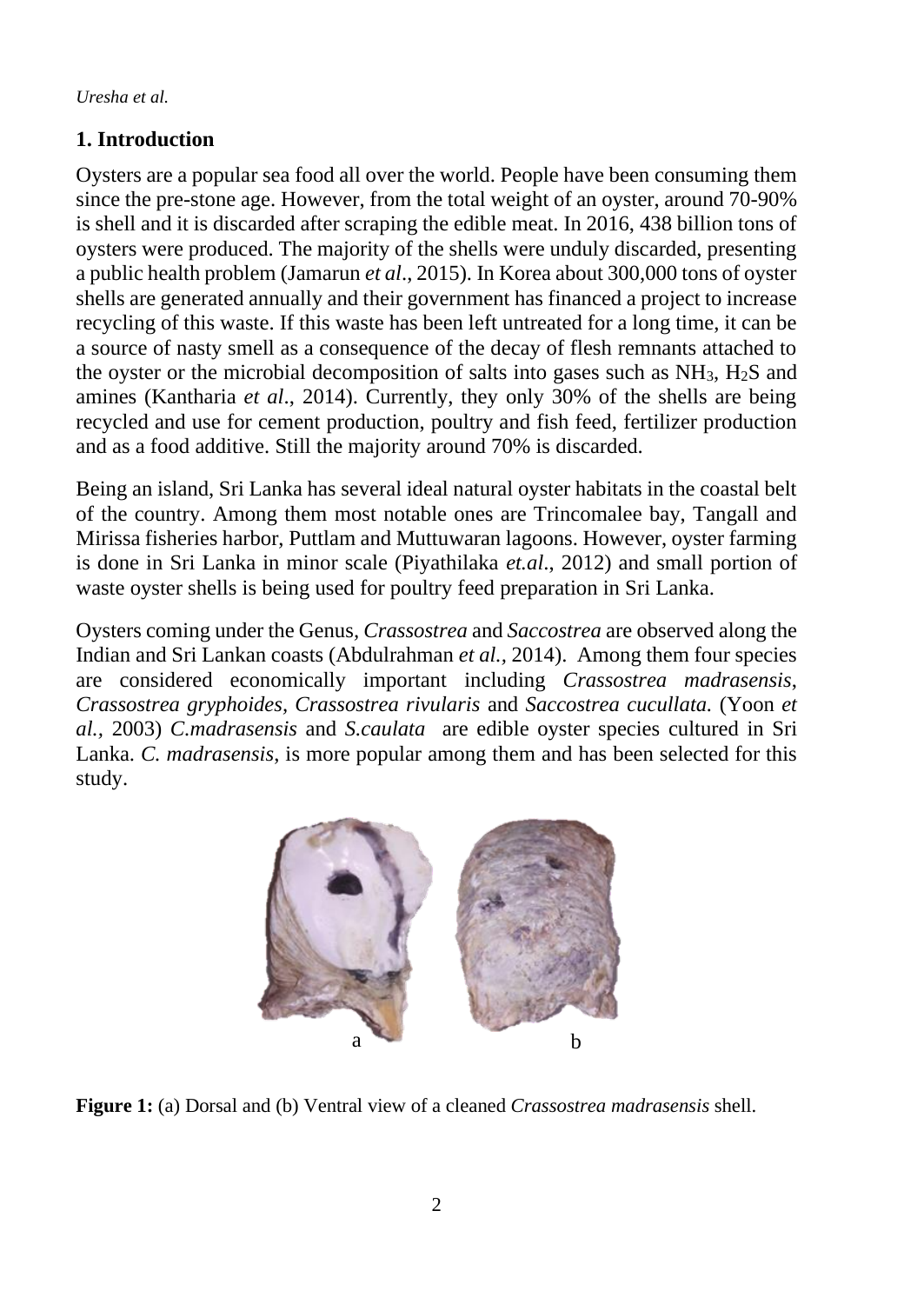## **1. Introduction**

Oysters are a popular sea food all over the world. People have been consuming them since the pre-stone age. However, from the total weight of an oyster, around 70-90% is shell and it is discarded after scraping the edible meat. In 2016, 438 billion tons of oysters were produced. The majority of the shells were unduly discarded, presenting a public health problem (Jamarun *et al*., 2015). In Korea about 300,000 tons of oyster shells are generated annually and their government has financed a project to increase recycling of this waste. If this waste has been left untreated for a long time, it can be a source of nasty smell as a consequence of the decay of flesh remnants attached to the oyster or the microbial decomposition of salts into gases such as  $NH<sub>3</sub>$ ,  $H<sub>2</sub>S$  and amines (Kantharia *et al*., 2014). Currently, they only 30% of the shells are being recycled and use for cement production, poultry and fish feed, fertilizer production and as a food additive. Still the majority around 70% is discarded.

Being an island, Sri Lanka has several ideal natural oyster habitats in the coastal belt of the country. Among them most notable ones are Trincomalee bay, Tangall and Mirissa fisheries harbor, Puttlam and Muttuwaran lagoons. However, oyster farming is done in Sri Lanka in minor scale (Piyathilaka *et.al*., 2012) and small portion of waste oyster shells is being used for poultry feed preparation in Sri Lanka.

Oysters coming under the Genus*, Crassostrea* and *Saccostrea* are observed along the Indian and Sri Lankan coasts (Abdulrahman *et al.,* 2014). Among them four species are considered economically important including *Crassostrea madrasensis*, *Crassostrea gryphoides, Crassostrea rivularis* and *Saccostrea cucullata.* (Yoon *et al.,* 2003) *C.madrasensis* and *S.caulata* are edible oyster species cultured in Sri Lanka. *C. madrasensis*, is more popular among them and has been selected for this study.



**Figure 1:** (a) Dorsal and (b) Ventral view of a cleaned *Crassostrea madrasensis* shell.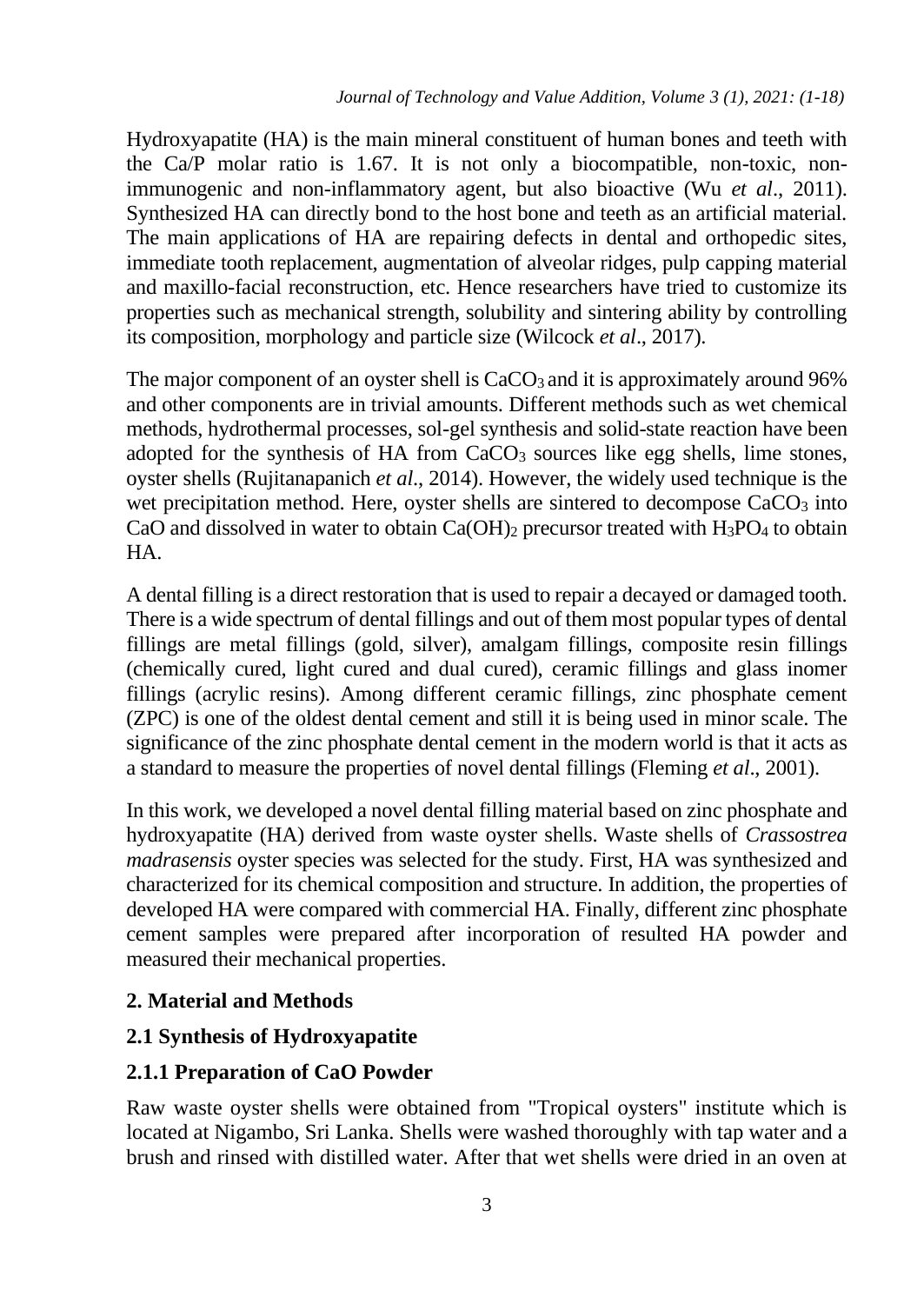Hydroxyapatite (HA) is the main mineral constituent of human bones and teeth with the Ca/P molar ratio is 1.67. It is not only a biocompatible, non-toxic, nonimmunogenic and non-inflammatory agent, but also bioactive (Wu *et al*., 2011). Synthesized HA can directly bond to the host bone and teeth as an artificial material. The main applications of HA are repairing defects in dental and orthopedic sites, immediate tooth replacement, augmentation of alveolar ridges, pulp capping material and maxillo-facial reconstruction, etc. Hence researchers have tried to customize its properties such as mechanical strength, solubility and sintering ability by controlling its composition, morphology and particle size (Wilcock *et al*., 2017).

The major component of an oyster shell is  $CaCO<sub>3</sub>$  and it is approximately around 96% and other components are in trivial amounts. Different methods such as wet chemical methods, hydrothermal processes, sol-gel synthesis and solid-state reaction have been adopted for the synthesis of HA from  $CaCO<sub>3</sub>$  sources like egg shells, lime stones, oyster shells (Rujitanapanich *et al*., 2014). However, the widely used technique is the wet precipitation method. Here, oyster shells are sintered to decompose CaCO<sub>3</sub> into CaO and dissolved in water to obtain  $Ca(OH)_2$  precursor treated with  $H_3PO_4$  to obtain HA.

A dental filling is a direct restoration that is used to repair a decayed or damaged tooth. There is a wide spectrum of dental fillings and out of them most popular types of dental fillings are metal fillings (gold, silver), amalgam fillings, composite resin fillings (chemically cured, light cured and dual cured), ceramic fillings and glass inomer fillings (acrylic resins). Among different ceramic fillings, zinc phosphate cement (ZPC) is one of the oldest dental cement and still it is being used in minor scale. The significance of the zinc phosphate dental cement in the modern world is that it acts as a standard to measure the properties of novel dental fillings (Fleming *et al*., 2001).

In this work, we developed a novel dental filling material based on zinc phosphate and hydroxyapatite (HA) derived from waste oyster shells. Waste shells of *Crassostrea madrasensis* oyster species was selected for the study. First, HA was synthesized and characterized for its chemical composition and structure. In addition, the properties of developed HA were compared with commercial HA. Finally, different zinc phosphate cement samples were prepared after incorporation of resulted HA powder and measured their mechanical properties.

# **2. Material and Methods**

# **2.1 Synthesis of Hydroxyapatite**

# **2.1.1 Preparation of CaO Powder**

Raw waste oyster shells were obtained from "Tropical oysters" institute which is located at Nigambo, Sri Lanka. Shells were washed thoroughly with tap water and a brush and rinsed with distilled water. After that wet shells were dried in an oven at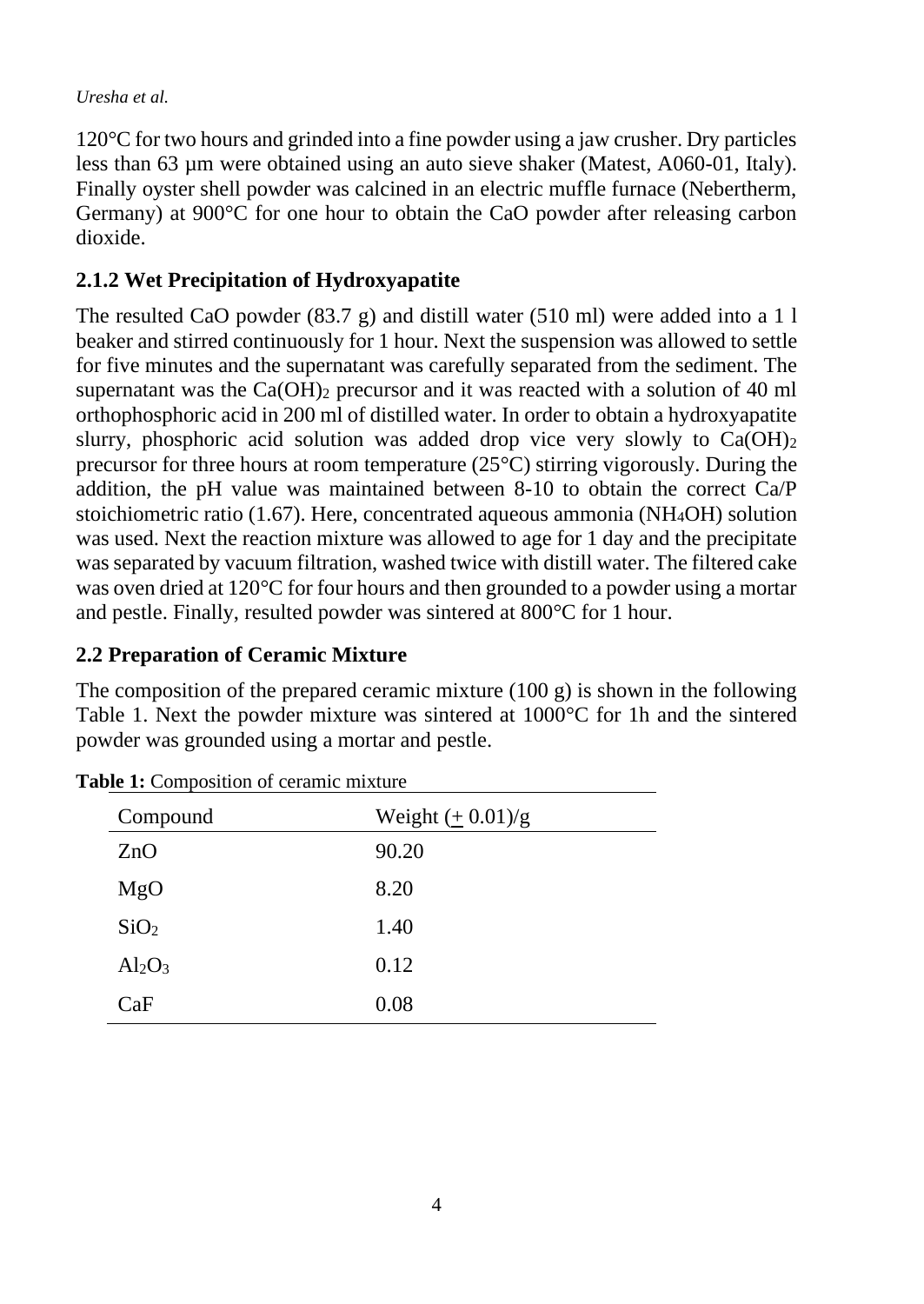120°C for two hours and grinded into a fine powder using a jaw crusher. Dry particles less than 63 µm were obtained using an auto sieve shaker (Matest, A060-01, Italy). Finally oyster shell powder was calcined in an electric muffle furnace (Nebertherm, Germany) at 900°C for one hour to obtain the CaO powder after releasing carbon dioxide.

# **2.1.2 Wet Precipitation of Hydroxyapatite**

The resulted CaO powder  $(83.7 \text{ g})$  and distill water  $(510 \text{ ml})$  were added into a 1 l beaker and stirred continuously for 1 hour. Next the suspension was allowed to settle for five minutes and the supernatant was carefully separated from the sediment. The supernatant was the  $Ca(OH)_2$  precursor and it was reacted with a solution of 40 ml orthophosphoric acid in 200 ml of distilled water. In order to obtain a hydroxyapatite slurry, phosphoric acid solution was added drop vice very slowly to  $Ca(OH)_2$ precursor for three hours at room temperature (25°C) stirring vigorously. During the addition, the pH value was maintained between 8-10 to obtain the correct Ca/P stoichiometric ratio (1.67). Here, concentrated aqueous ammonia (NH4OH) solution was used. Next the reaction mixture was allowed to age for 1 day and the precipitate was separated by vacuum filtration, washed twice with distill water. The filtered cake was oven dried at 120°C for four hours and then grounded to a powder using a mortar and pestle. Finally, resulted powder was sintered at 800°C for 1 hour.

## **2.2 Preparation of Ceramic Mixture**

The composition of the prepared ceramic mixture  $(100 \text{ g})$  is shown in the following Table 1. Next the powder mixture was sintered at 1000°C for 1h and the sintered powder was grounded using a mortar and pestle.

**Table 1:** Composition of ceramic mixture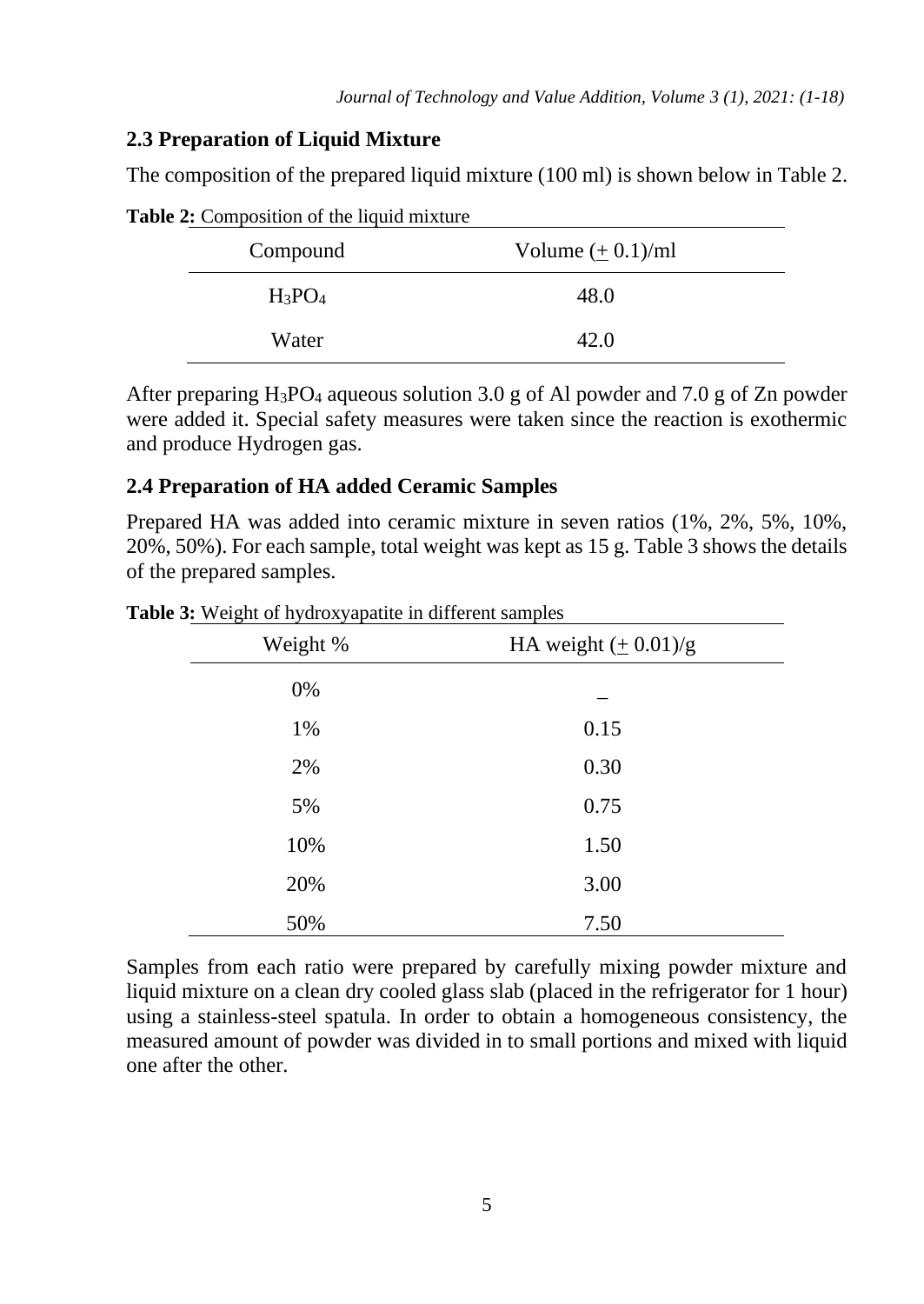## **2.3 Preparation of Liquid Mixture**

The composition of the prepared liquid mixture (100 ml) is shown below in Table 2.

| Compound  | Volume $(\pm 0.1)$ /ml |
|-----------|------------------------|
| $H_3PO_4$ | 48.0                   |
| Water     | 42.0                   |

**Table 2:** Composition of the liquid mixture

After preparing  $H_3PO_4$  aqueous solution 3.0 g of Al powder and 7.0 g of Zn powder were added it. Special safety measures were taken since the reaction is exothermic and produce Hydrogen gas.

#### **2.4 Preparation of HA added Ceramic Samples**

Prepared HA was added into ceramic mixture in seven ratios (1%, 2%, 5%, 10%, 20%, 50%). For each sample, total weight was kept as 15 g. Table 3 shows the details of the prepared samples.

| Weight % | HA weight $(± 0.01)/g$ |
|----------|------------------------|
| 0%       |                        |
| 1%       | 0.15                   |
| 2%       | 0.30                   |
| 5%       | 0.75                   |
| 10%      | 1.50                   |
| 20%      | 3.00                   |
| 50%      | 7.50                   |

**Table 3:** Weight of hydroxyapatite in different samples

Samples from each ratio were prepared by carefully mixing powder mixture and liquid mixture on a clean dry cooled glass slab (placed in the refrigerator for 1 hour) using a stainless-steel spatula. In order to obtain a homogeneous consistency, the measured amount of powder was divided in to small portions and mixed with liquid one after the other.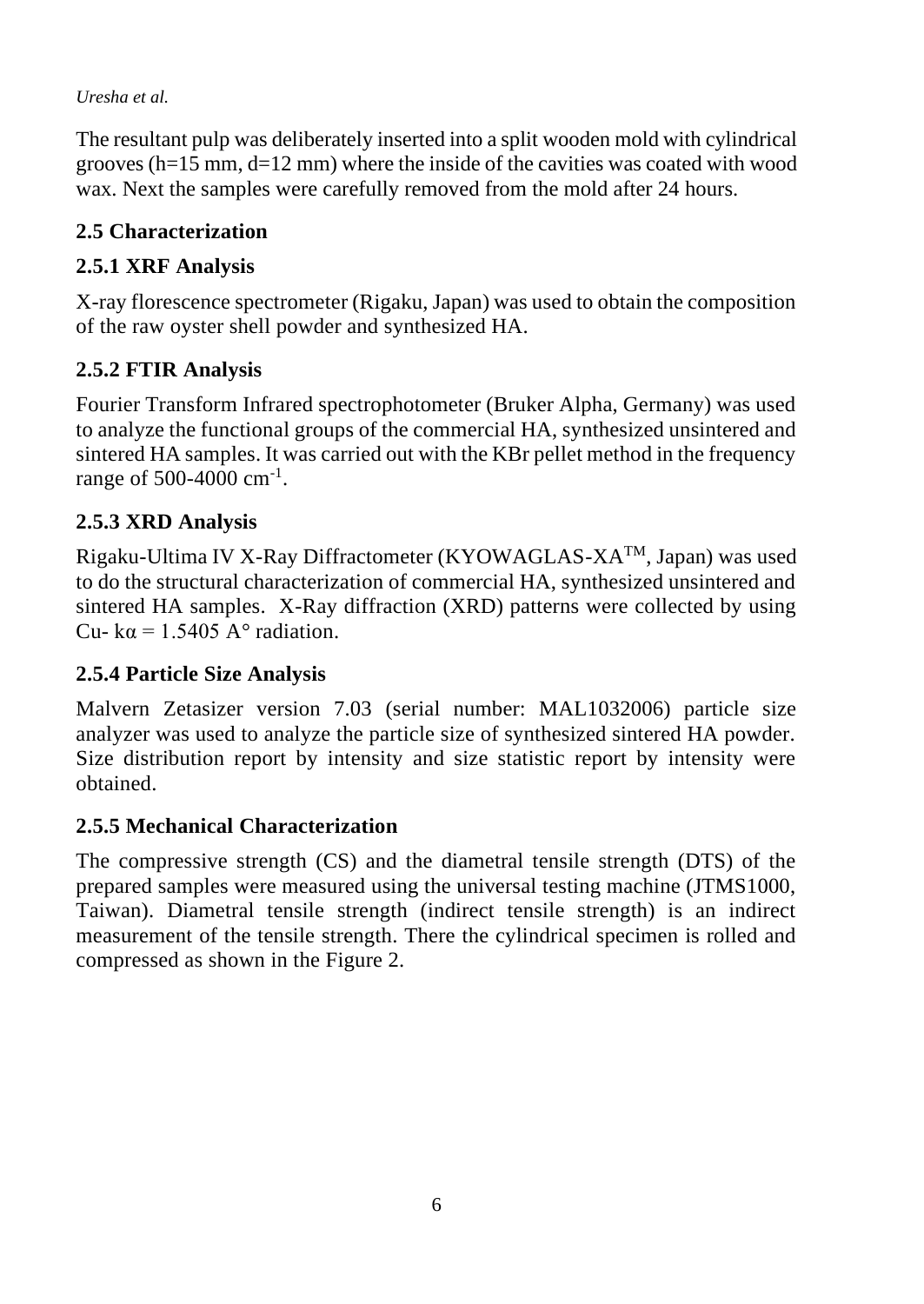The resultant pulp was deliberately inserted into a split wooden mold with cylindrical grooves  $(h=15 \text{ mm}, d=12 \text{ mm})$  where the inside of the cavities was coated with wood wax. Next the samples were carefully removed from the mold after 24 hours.

# **2.5 Characterization**

# **2.5.1 XRF Analysis**

X-ray florescence spectrometer (Rigaku, Japan) was used to obtain the composition of the raw oyster shell powder and synthesized HA.

# **2.5.2 FTIR Analysis**

Fourier Transform Infrared spectrophotometer (Bruker Alpha, Germany) was used to analyze the functional groups of the commercial HA, synthesized unsintered and sintered HA samples. It was carried out with the KBr pellet method in the frequency range of 500-4000 cm<sup>-1</sup>.

# **2.5.3 XRD Analysis**

Rigaku-Ultima IV X-Ray Diffractometer (KYOWAGLAS-XATM, Japan) was used to do the structural characterization of commercial HA, synthesized unsintered and sintered HA samples. X-Ray diffraction (XRD) patterns were collected by using Cu- k $\alpha$  = 1.5405 A<sup>o</sup> radiation.

# **2.5.4 Particle Size Analysis**

Malvern Zetasizer version 7.03 (serial number: MAL1032006) particle size analyzer was used to analyze the particle size of synthesized sintered HA powder. Size distribution report by intensity and size statistic report by intensity were obtained.

# **2.5.5 Mechanical Characterization**

The compressive strength (CS) and the diametral tensile strength (DTS) of the prepared samples were measured using the universal testing machine (JTMS1000, Taiwan). Diametral tensile strength (indirect tensile strength) is an indirect measurement of the tensile strength. There the cylindrical specimen is rolled and compressed as shown in the Figure 2.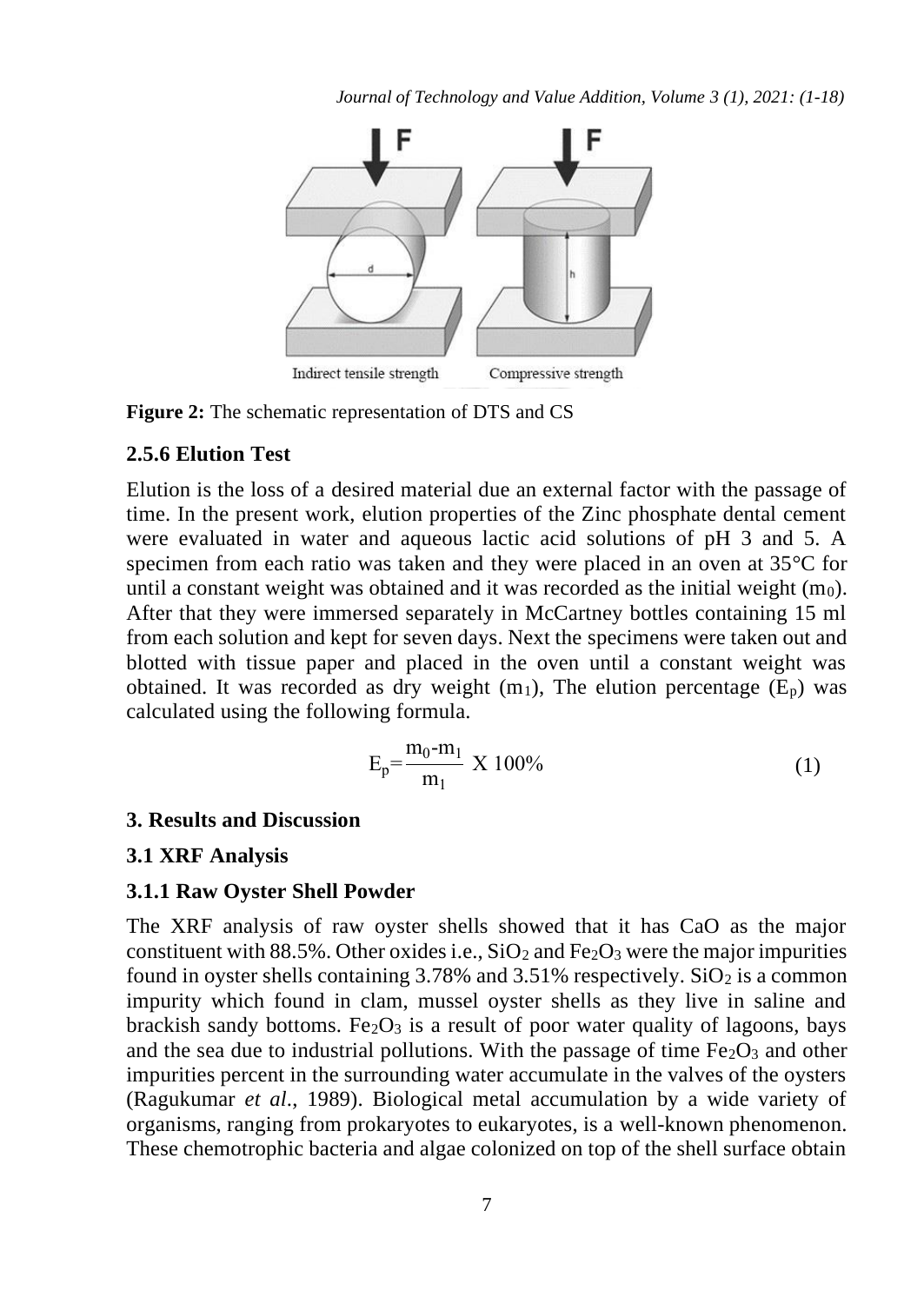*Journal of Technology and Value Addition, Volume 3 (1), 2021: (1-18)*



**Figure 2:** The schematic representation of DTS and CS

#### **2.5.6 Elution Test**

Elution is the loss of a desired material due an external factor with the passage of time. In the present work, elution properties of the Zinc phosphate dental cement were evaluated in water and aqueous lactic acid solutions of pH 3 and 5. A specimen from each ratio was taken and they were placed in an oven at 35°C for until a constant weight was obtained and it was recorded as the initial weight  $(m_0)$ . After that they were immersed separately in McCartney bottles containing 15 ml from each solution and kept for seven days. Next the specimens were taken out and blotted with tissue paper and placed in the oven until a constant weight was obtained. It was recorded as dry weight  $(m_1)$ , The elution percentage  $(E_p)$  was calculated using the following formula.

$$
E_p = \frac{m_0 - m_1}{m_1} \times 100\%
$$
 (1)

#### **3. Results and Discussion**

#### **3.1 XRF Analysis**

#### **3.1.1 Raw Oyster Shell Powder**

The XRF analysis of raw oyster shells showed that it has CaO as the major constituent with 88.5%. Other oxides i.e.,  $SiO<sub>2</sub>$  and Fe<sub>2</sub>O<sub>3</sub> were the major impurities found in oyster shells containing  $3.78\%$  and  $3.51\%$  respectively. SiO<sub>2</sub> is a common impurity which found in clam, mussel oyster shells as they live in saline and brackish sandy bottoms. Fe<sub>2</sub>O<sub>3</sub> is a result of poor water quality of lagoons, bays and the sea due to industrial pollutions. With the passage of time  $Fe<sub>2</sub>O<sub>3</sub>$  and other impurities percent in the surrounding water accumulate in the valves of the oysters (Ragukumar *et al*., 1989). Biological metal accumulation by a wide variety of organisms, ranging from prokaryotes to eukaryotes, is a well-known phenomenon. These chemotrophic bacteria and algae colonized on top of the shell surface obtain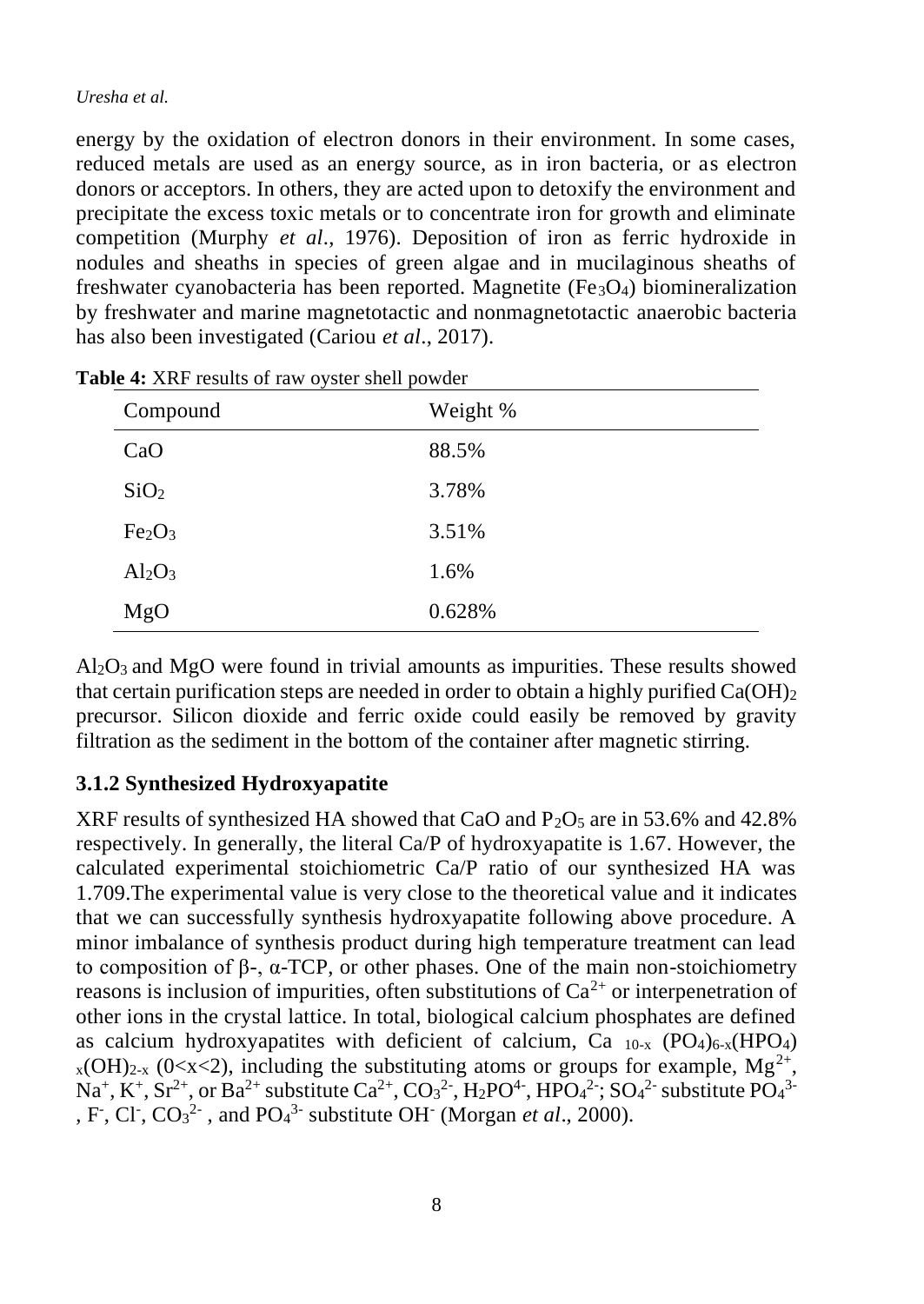energy by the oxidation of electron donors in their environment. In some cases, reduced metals are used as an energy source, as in iron bacteria, or as electron donors or acceptors. In others, they are acted upon to detoxify the environment and precipitate the excess toxic metals or to concentrate iron for growth and eliminate competition (Murphy *et al*., 1976). Deposition of iron as ferric hydroxide in nodules and sheaths in species of green algae and in mucilaginous sheaths of freshwater cyanobacteria has been reported. Magnetite ( $Fe<sub>3</sub>O<sub>4</sub>$ ) biomineralization by freshwater and marine magnetotactic and nonmagnetotactic anaerobic bacteria has also been investigated (Cariou *et al*., 2017).

| Compound                       | Weight % |
|--------------------------------|----------|
| CaO                            | 88.5%    |
| SiO <sub>2</sub>               | 3.78%    |
| Fe <sub>2</sub> O <sub>3</sub> | 3.51%    |
| $Al_2O_3$                      | 1.6%     |
| MgO                            | 0.628%   |

**Table 4:** XRF results of raw oyster shell powder

 $A<sub>2</sub>O<sub>3</sub>$  and MgO were found in trivial amounts as impurities. These results showed that certain purification steps are needed in order to obtain a highly purified  $Ca(OH)_2$ precursor. Silicon dioxide and ferric oxide could easily be removed by gravity filtration as the sediment in the bottom of the container after magnetic stirring.

# **3.1.2 Synthesized Hydroxyapatite**

XRF results of synthesized HA showed that CaO and  $P_2O_5$  are in 53.6% and 42.8% respectively. In generally, the literal Ca/P of hydroxyapatite is 1.67. However, the calculated experimental stoichiometric Ca/P ratio of our synthesized HA was 1.709.The experimental value is very close to the theoretical value and it indicates that we can successfully synthesis hydroxyapatite following above procedure. A minor imbalance of synthesis product during high temperature treatment can lead to composition of β-, α-TCP, or other phases. One of the main non-stoichiometry reasons is inclusion of impurities, often substitutions of  $Ca^{2+}$  or interpenetration of other ions in the crystal lattice. In total, biological calcium phosphates are defined as calcium hydroxyapatites with deficient of calcium, Ca  $_{10-x}$  (PO<sub>4</sub>)<sub>6-x</sub>(HPO<sub>4</sub>)  $_{x}$ (OH)<sub>2-x</sub> (0<x<2), including the substituting atoms or groups for example, Mg<sup>2+</sup>, Na<sup>+</sup>, K<sup>+</sup>, Sr<sup>2+</sup>, or Ba<sup>2+</sup> substitute Ca<sup>2+</sup>, CO<sub>3</sub><sup>2</sup>-, H<sub>2</sub>PO<sup>4-</sup>, HPO<sub>4</sub><sup>2</sup>-; SO<sub>4</sub><sup>2</sup>- substitute PO<sub>4</sub><sup>3-</sup> , F, Cl,  $CO_3^2$ , and  $PO_4^3$  substitute OH (Morgan *et al.*, 2000).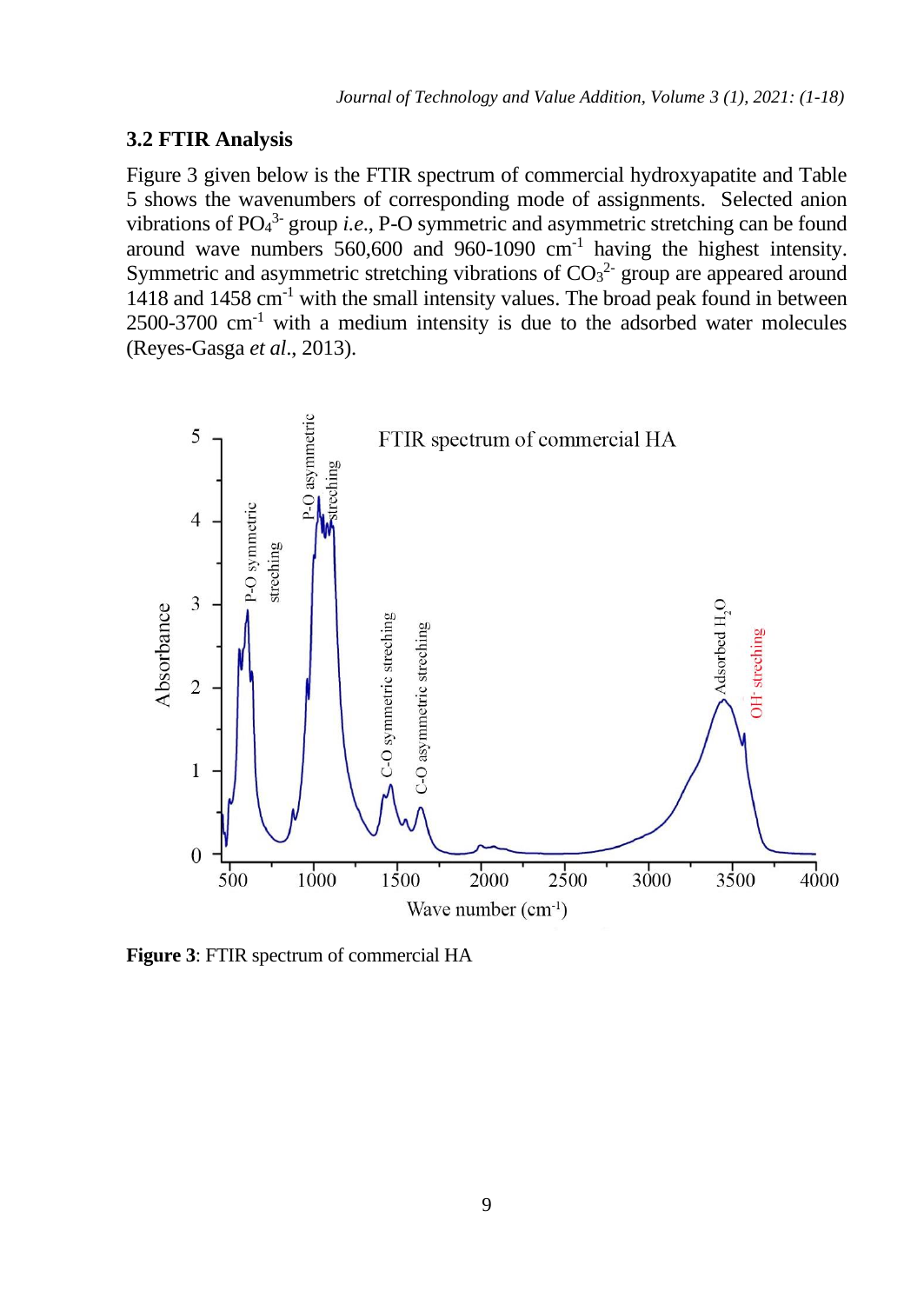#### **3.2 FTIR Analysis**

Figure 3 given below is the FTIR spectrum of commercial hydroxyapatite and Table 5 shows the wavenumbers of corresponding mode of assignments. Selected anion vibrations of  $PO_4^3$  group *i.e.*, P-O symmetric and asymmetric stretching can be found around wave numbers  $560,600$  and  $960-1090$  cm<sup>-1</sup> having the highest intensity. Symmetric and asymmetric stretching vibrations of  $CO<sub>3</sub><sup>2</sup>$  group are appeared around 1418 and 1458 cm-1 with the small intensity values. The broad peak found in between  $2500-3700$  cm<sup>-1</sup> with a medium intensity is due to the adsorbed water molecules (Reyes-Gasga *et al*., 2013).



**Figure 3**: FTIR spectrum of commercial HA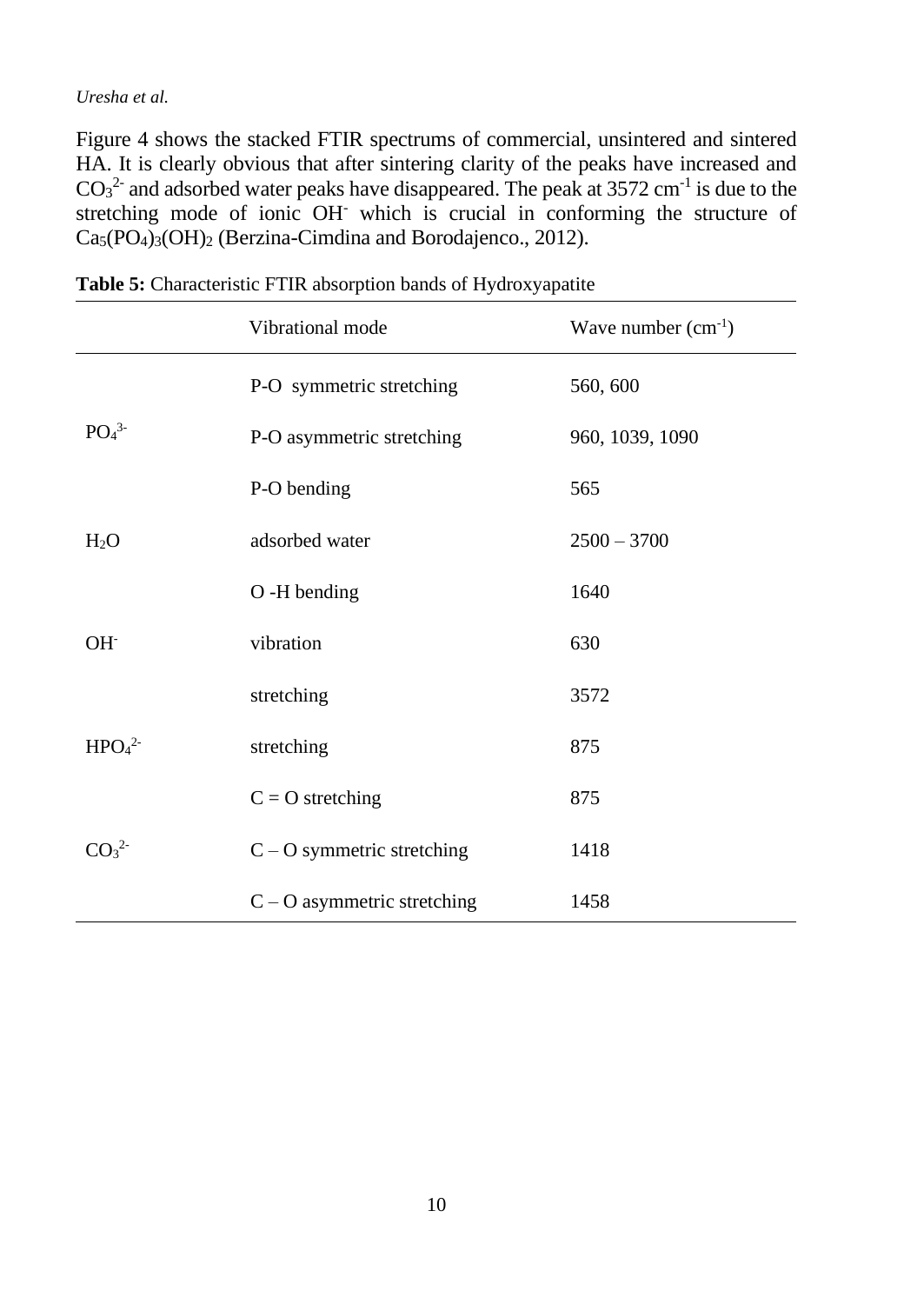Figure 4 shows the stacked FTIR spectrums of commercial, unsintered and sintered HA. It is clearly obvious that after sintering clarity of the peaks have increased and  $CO<sub>3</sub><sup>2</sup>$  and adsorbed water peaks have disappeared. The peak at 3572 cm<sup>-1</sup> is due to the stretching mode of ionic OH- which is crucial in conforming the structure of Ca5(PO4)3(OH)<sup>2</sup> (Berzina-Cimdina and Borodajenco., 2012).

|                               | Vibrational mode              | Wave number $(cm^{-1})$ |
|-------------------------------|-------------------------------|-------------------------|
|                               | P-O symmetric stretching      | 560, 600                |
| PO <sub>4</sub> <sup>3</sup>  | P-O asymmetric stretching     | 960, 1039, 1090         |
|                               | P-O bending                   | 565                     |
| H <sub>2</sub> O              | adsorbed water                | $2500 - 3700$           |
|                               | O -H bending                  | 1640                    |
| OH <sup>-</sup>               | vibration                     | 630                     |
|                               | stretching                    | 3572                    |
| HPO <sub>4</sub> <sup>2</sup> | stretching                    | 875                     |
|                               | $C = O$ stretching            | 875                     |
| CO <sub>3</sub> <sup>2</sup>  | $C - O$ symmetric stretching  | 1418                    |
|                               | $C - O$ asymmetric stretching | 1458                    |

**Table 5:** Characteristic FTIR absorption bands of Hydroxyapatite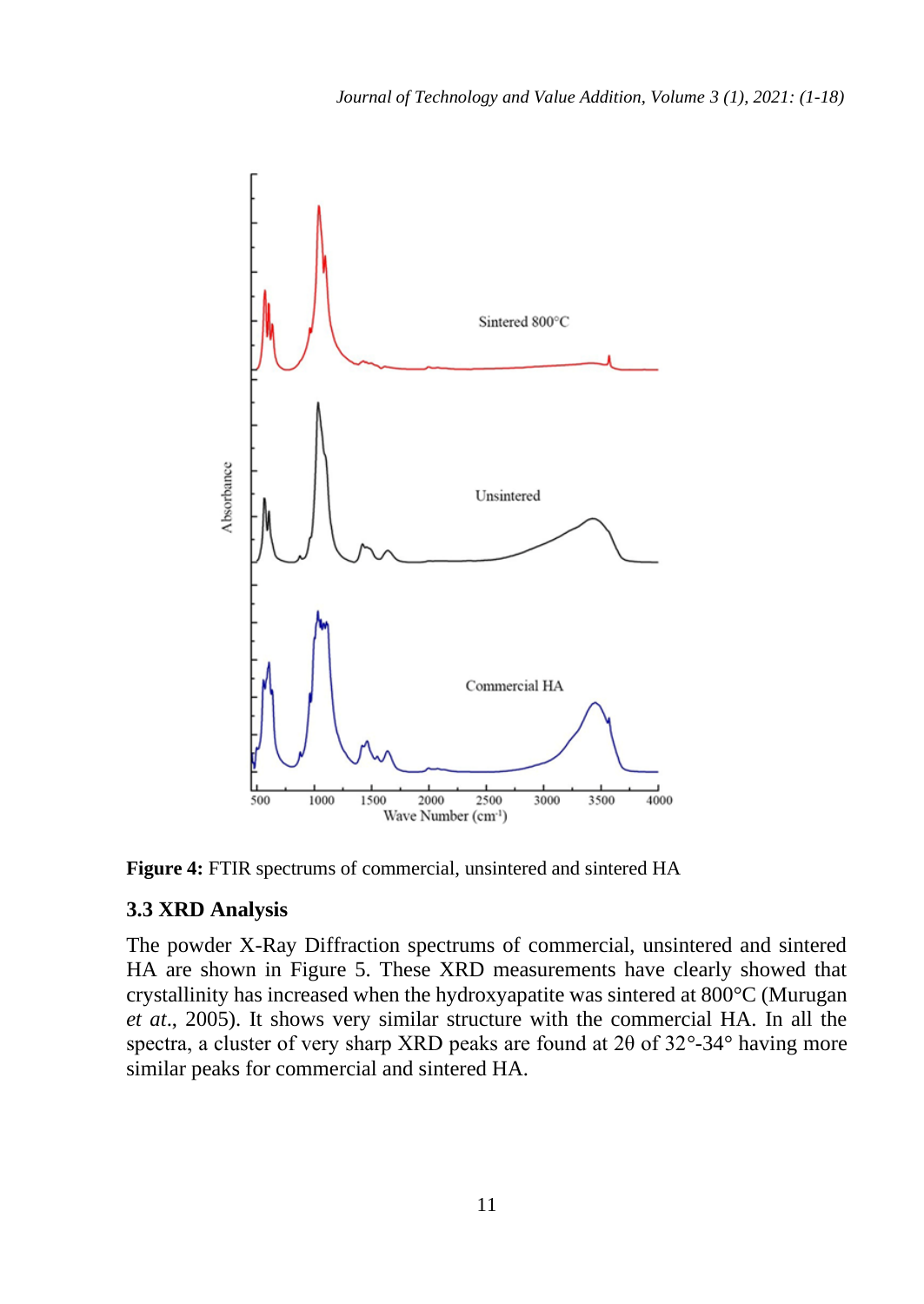

**Figure 4:** FTIR spectrums of commercial, unsintered and sintered HA

### **3.3 XRD Analysis**

The powder X-Ray Diffraction spectrums of commercial, unsintered and sintered HA are shown in Figure 5. These XRD measurements have clearly showed that crystallinity has increased when the hydroxyapatite was sintered at 800°C (Murugan *et at*., 2005). It shows very similar structure with the commercial HA. In all the spectra, a cluster of very sharp XRD peaks are found at 2θ of 32°-34° having more similar peaks for commercial and sintered HA.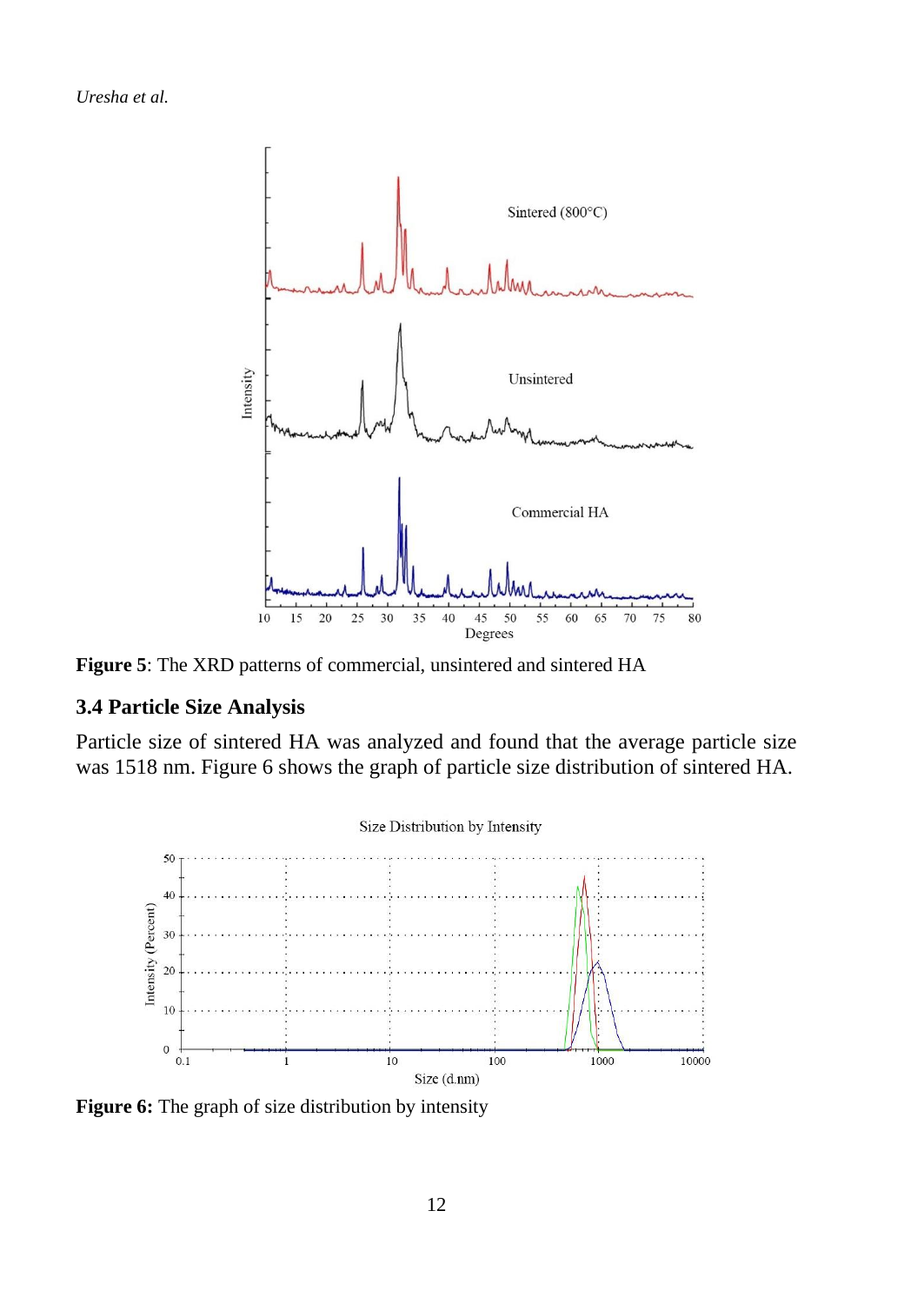

**Figure 5**: The XRD patterns of commercial, unsintered and sintered HA

#### **3.4 Particle Size Analysis**

Particle size of sintered HA was analyzed and found that the average particle size was 1518 nm. Figure 6 shows the graph of particle size distribution of sintered HA.



Figure 6: The graph of size distribution by intensity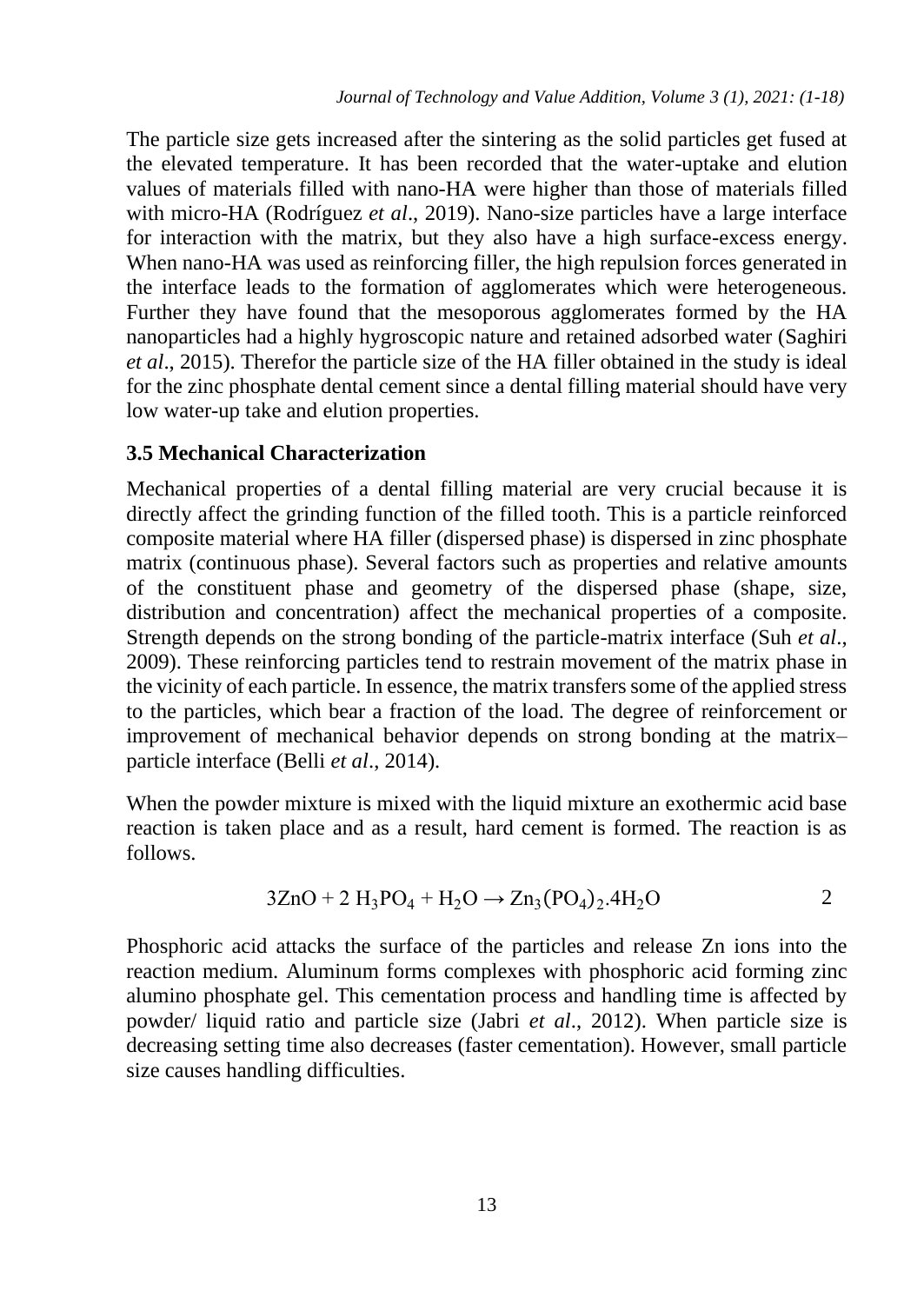The particle size gets increased after the sintering as the solid particles get fused at the elevated temperature. It has been recorded that the water-uptake and elution values of materials filled with nano-HA were higher than those of materials filled with micro-HA (Rodríguez *et al*., 2019). Nano-size particles have a large interface for interaction with the matrix, but they also have a high surface-excess energy. When nano-HA was used as reinforcing filler, the high repulsion forces generated in the interface leads to the formation of agglomerates which were heterogeneous. Further they have found that the mesoporous agglomerates formed by the HA nanoparticles had a highly hygroscopic nature and retained adsorbed water (Saghiri *et al*., 2015). Therefor the particle size of the HA filler obtained in the study is ideal for the zinc phosphate dental cement since a dental filling material should have very low water-up take and elution properties.

### **3.5 Mechanical Characterization**

Mechanical properties of a dental filling material are very crucial because it is directly affect the grinding function of the filled tooth. This is a particle reinforced composite material where HA filler (dispersed phase) is dispersed in zinc phosphate matrix (continuous phase). Several factors such as properties and relative amounts of the constituent phase and geometry of the dispersed phase (shape, size, distribution and concentration) affect the mechanical properties of a composite. Strength depends on the strong bonding of the particle-matrix interface (Suh *et al*., 2009). These reinforcing particles tend to restrain movement of the matrix phase in the vicinity of each particle. In essence, the matrix transfers some of the applied stress to the particles, which bear a fraction of the load. The degree of reinforcement or improvement of mechanical behavior depends on strong bonding at the matrix– particle interface (Belli *et al*., 2014).

When the powder mixture is mixed with the liquid mixture an exothermic acid base reaction is taken place and as a result, hard cement is formed. The reaction is as follows.

$$
3ZnO + 2 H_3PO_4 + H_2O \rightarrow Zn_3(PO_4)_2.4H_2O
$$
 2

Phosphoric acid attacks the surface of the particles and release Zn ions into the reaction medium. Aluminum forms complexes with phosphoric acid forming zinc alumino phosphate gel. This cementation process and handling time is affected by powder/ liquid ratio and particle size (Jabri *et al*., 2012). When particle size is decreasing setting time also decreases (faster cementation). However, small particle size causes handling difficulties.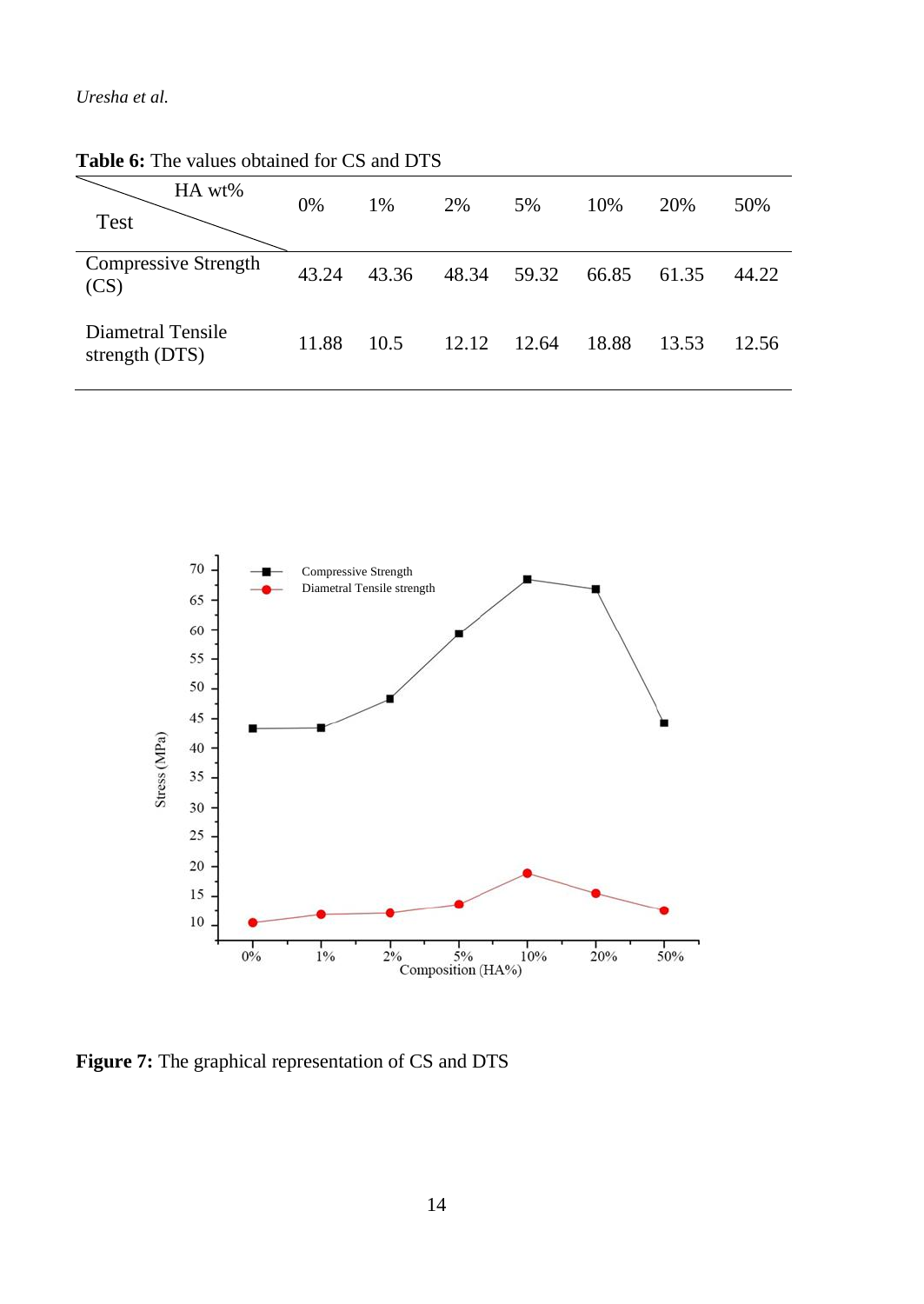| HA wt%<br>Test                      | 0%    | 1%    | 2%    | 5%    | 10%   | 20%   | 50%   |
|-------------------------------------|-------|-------|-------|-------|-------|-------|-------|
| Compressive Strength<br>(CS)        | 43.24 | 43.36 | 48.34 | 59.32 | 66.85 | 61.35 | 44.22 |
| Diametral Tensile<br>strength (DTS) | 11.88 | 10.5  | 12.12 | 12.64 | 18.88 | 13.53 | 12.56 |

**Table 6:** The values obtained for CS and DTS



**Figure 7:** The graphical representation of CS and DTS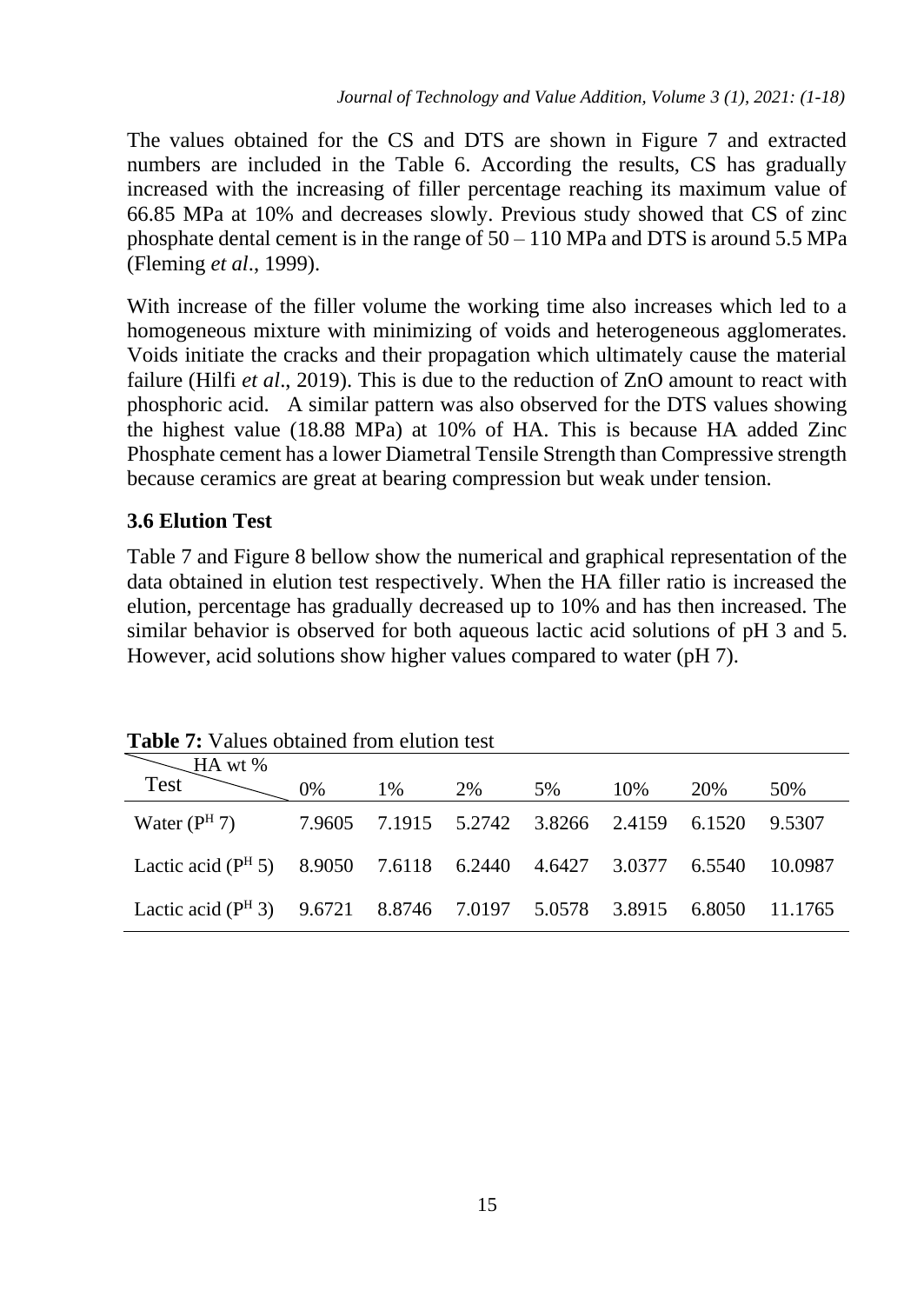The values obtained for the CS and DTS are shown in Figure 7 and extracted numbers are included in the Table 6. According the results, CS has gradually increased with the increasing of filler percentage reaching its maximum value of 66.85 MPa at 10% and decreases slowly. Previous study showed that CS of zinc phosphate dental cement is in the range of  $50 - 110$  MPa and DTS is around 5.5 MPa (Fleming *et al*., 1999).

With increase of the filler volume the working time also increases which led to a homogeneous mixture with minimizing of voids and heterogeneous agglomerates. Voids initiate the cracks and their propagation which ultimately cause the material failure (Hilfi *et al*., 2019). This is due to the reduction of ZnO amount to react with phosphoric acid. A similar pattern was also observed for the DTS values showing the highest value (18.88 MPa) at 10% of HA. This is because HA added Zinc Phosphate cement has a lower Diametral Tensile Strength than Compressive strength because ceramics are great at bearing compression but weak under tension.

### **3.6 Elution Test**

Table 7 and Figure 8 bellow show the numerical and graphical representation of the data obtained in elution test respectively. When the HA filler ratio is increased the elution, percentage has gradually decreased up to 10% and has then increased. The similar behavior is observed for both aqueous lactic acid solutions of pH 3 and 5. However, acid solutions show higher values compared to water (pH 7).

| Tuon II valuos opaaniot hom pluuon tost                                          |    |       |  |    |     |      |     |  |
|----------------------------------------------------------------------------------|----|-------|--|----|-----|------|-----|--|
| Test HA wt %                                                                     |    |       |  |    |     |      |     |  |
|                                                                                  | 0% | 1% 2% |  | 5% | 10% | 20\% | 50% |  |
| Water (P <sup>H</sup> 7) 7.9605 7.1915 5.2742 3.8266 2.4159 6.1520 9.5307        |    |       |  |    |     |      |     |  |
| Lactic acid (P <sup>H</sup> 5) 8.9050 7.6118 6.2440 4.6427 3.0377 6.5540 10.0987 |    |       |  |    |     |      |     |  |
| Lactic acid (P <sup>H</sup> 3) 9.6721 8.8746 7.0197 5.0578 3.8915 6.8050 11.1765 |    |       |  |    |     |      |     |  |

**Table 7:** Values obtained from elution test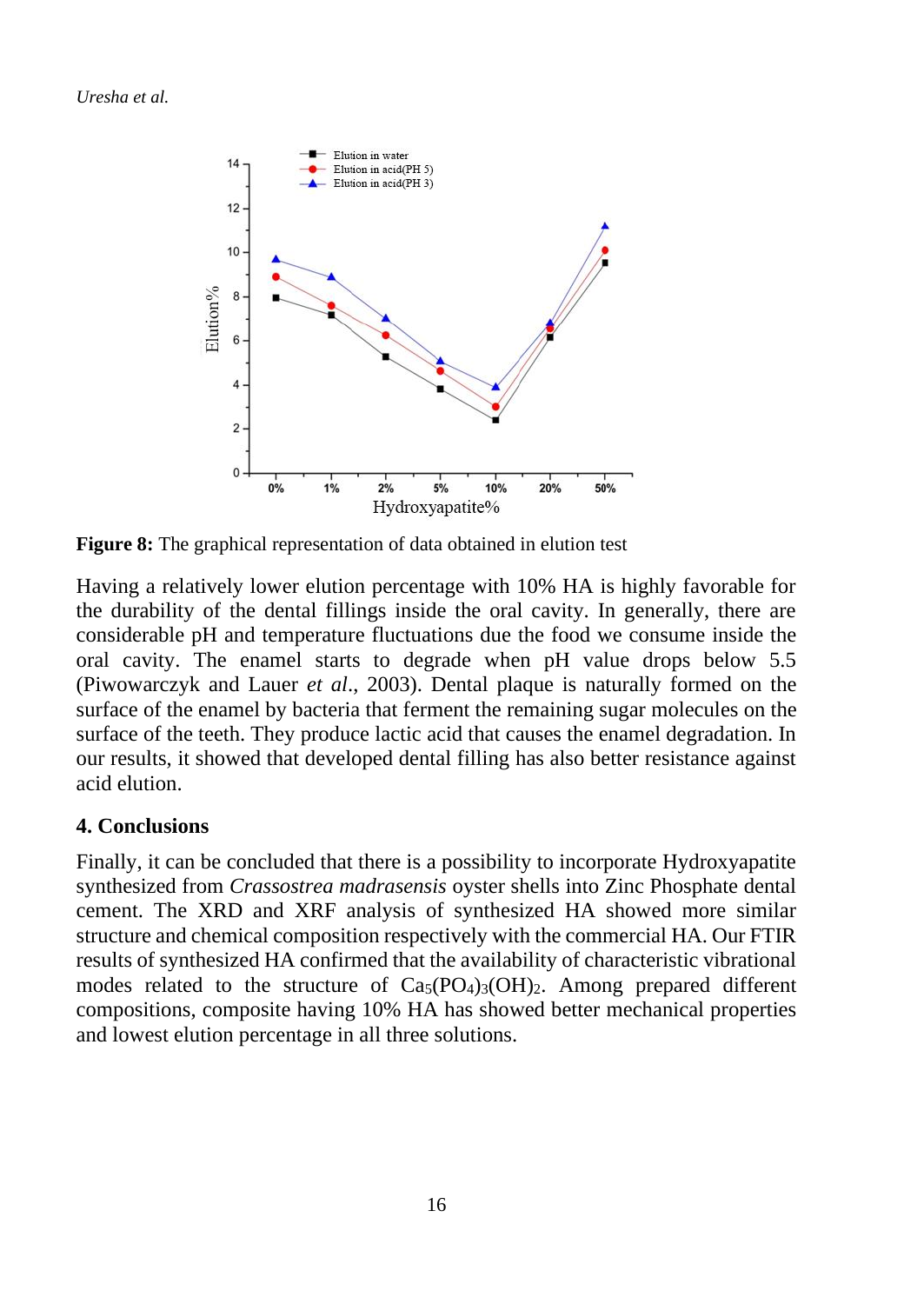

**Figure 8:** The graphical representation of data obtained in elution test

Having a relatively lower elution percentage with 10% HA is highly favorable for the durability of the dental fillings inside the oral cavity. In generally, there are considerable pH and temperature fluctuations due the food we consume inside the oral cavity. The enamel starts to degrade when pH value drops below 5.5 (Piwowarczyk and Lauer *et al*., 2003). Dental plaque is naturally formed on the surface of the enamel by bacteria that ferment the remaining sugar molecules on the surface of the teeth. They produce lactic acid that causes the enamel degradation. In our results, it showed that developed dental filling has also better resistance against acid elution.

### **4. Conclusions**

Finally, it can be concluded that there is a possibility to incorporate Hydroxyapatite synthesized from *Crassostrea madrasensis* oyster shells into Zinc Phosphate dental cement. The XRD and XRF analysis of synthesized HA showed more similar structure and chemical composition respectively with the commercial HA. Our FTIR results of synthesized HA confirmed that the availability of characteristic vibrational modes related to the structure of  $Ca<sub>5</sub>(PO<sub>4</sub>)<sub>3</sub>(OH)<sub>2</sub>$ . Among prepared different compositions, composite having 10% HA has showed better mechanical properties and lowest elution percentage in all three solutions.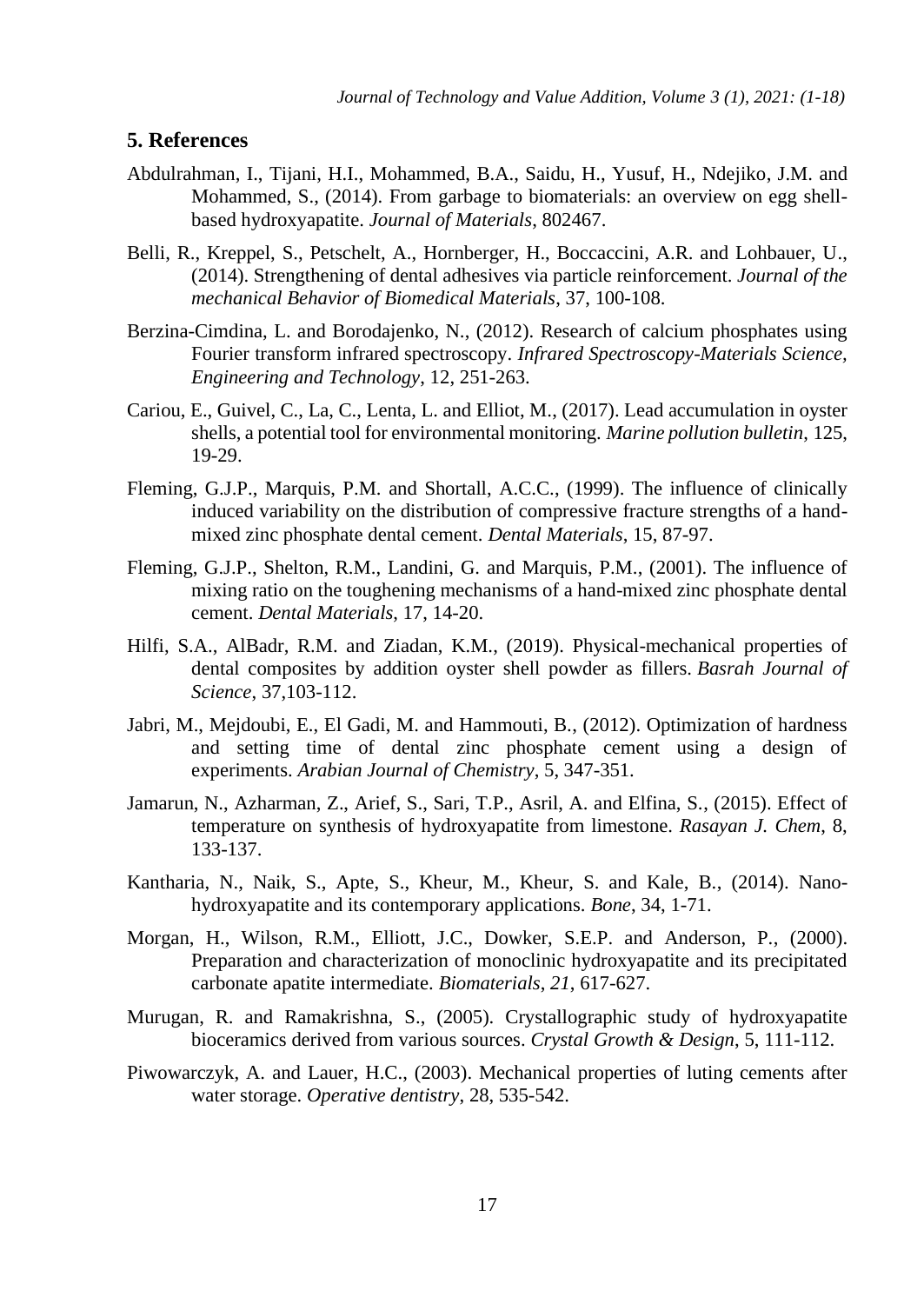#### **5. References**

- Abdulrahman, I., Tijani, H.I., Mohammed, B.A., Saidu, H., Yusuf, H., Ndejiko, J.M. and Mohammed, S., (2014). From garbage to biomaterials: an overview on egg shellbased hydroxyapatite. *Journal of Materials*, 802467.
- Belli, R., Kreppel, S., Petschelt, A., Hornberger, H., Boccaccini, A.R. and Lohbauer, U., (2014). Strengthening of dental adhesives via particle reinforcement. *Journal of the mechanical Behavior of Biomedical Materials*, 37, 100-108.
- Berzina-Cimdina, L. and Borodajenko, N., (2012). Research of calcium phosphates using Fourier transform infrared spectroscopy. *Infrared Spectroscopy-Materials Science, Engineering and Technology*, 12, 251-263.
- Cariou, E., Guivel, C., La, C., Lenta, L. and Elliot, M., (2017). Lead accumulation in oyster shells, a potential tool for environmental monitoring. *Marine pollution bulletin*, 125, 19-29.
- Fleming, G.J.P., Marquis, P.M. and Shortall, A.C.C., (1999). The influence of clinically induced variability on the distribution of compressive fracture strengths of a handmixed zinc phosphate dental cement. *Dental Materials*, 15, 87-97.
- Fleming, G.J.P., Shelton, R.M., Landini, G. and Marquis, P.M., (2001). The influence of mixing ratio on the toughening mechanisms of a hand-mixed zinc phosphate dental cement. *Dental Materials*, 17, 14-20.
- Hilfi, S.A., AlBadr, R.M. and Ziadan, K.M., (2019). Physical-mechanical properties of dental composites by addition oyster shell powder as fillers. *Basrah Journal of Science*, 37,103-112.
- Jabri, M., Mejdoubi, E., El Gadi, M. and Hammouti, B., (2012). Optimization of hardness and setting time of dental zinc phosphate cement using a design of experiments. *Arabian Journal of Chemistry*, 5, 347-351.
- Jamarun, N., Azharman, Z., Arief, S., Sari, T.P., Asril, A. and Elfina, S., (2015). Effect of temperature on synthesis of hydroxyapatite from limestone. *Rasayan J. Chem*, 8, 133-137.
- Kantharia, N., Naik, S., Apte, S., Kheur, M., Kheur, S. and Kale, B., (2014). Nanohydroxyapatite and its contemporary applications. *Bone*, 34, 1-71.
- Morgan, H., Wilson, R.M., Elliott, J.C., Dowker, S.E.P. and Anderson, P., (2000). Preparation and characterization of monoclinic hydroxyapatite and its precipitated carbonate apatite intermediate. *Biomaterials*, *21*, 617-627.
- Murugan, R. and Ramakrishna, S., (2005). Crystallographic study of hydroxyapatite bioceramics derived from various sources. *Crystal Growth & Design*, 5, 111-112.
- Piwowarczyk, A. and Lauer, H.C., (2003). Mechanical properties of luting cements after water storage. *Operative dentistry*, 28, 535-542.